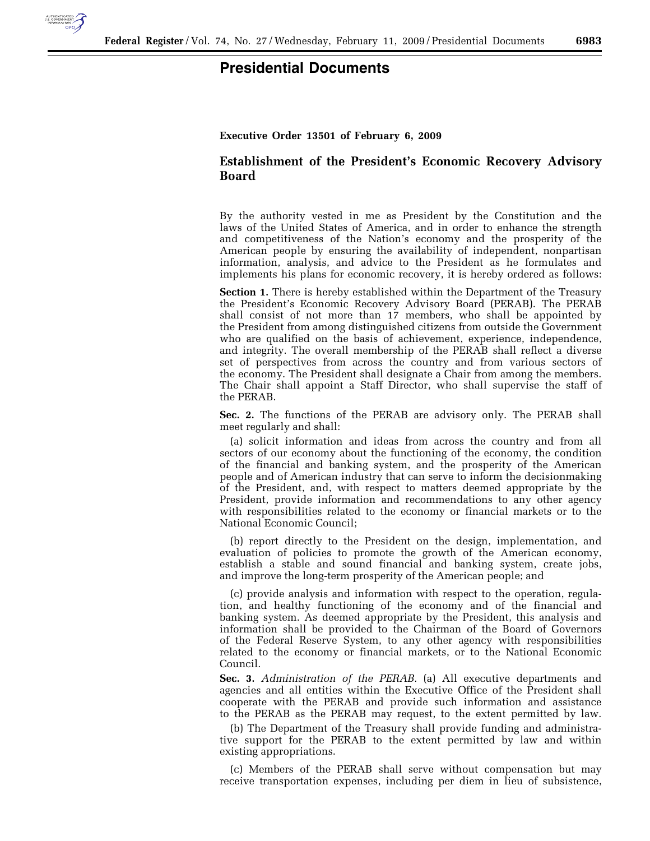

## **Executive Order 13501 of February 6, 2009**

## **Establishment of the President's Economic Recovery Advisory Board**

By the authority vested in me as President by the Constitution and the laws of the United States of America, and in order to enhance the strength and competitiveness of the Nation's economy and the prosperity of the American people by ensuring the availability of independent, nonpartisan information, analysis, and advice to the President as he formulates and implements his plans for economic recovery, it is hereby ordered as follows:

**Section 1.** There is hereby established within the Department of the Treasury the President's Economic Recovery Advisory Board (PERAB). The PERAB shall consist of not more than 17 members, who shall be appointed by the President from among distinguished citizens from outside the Government who are qualified on the basis of achievement, experience, independence, and integrity. The overall membership of the PERAB shall reflect a diverse set of perspectives from across the country and from various sectors of the economy. The President shall designate a Chair from among the members. The Chair shall appoint a Staff Director, who shall supervise the staff of the PERAB.

**Sec. 2.** The functions of the PERAB are advisory only. The PERAB shall meet regularly and shall:

(a) solicit information and ideas from across the country and from all sectors of our economy about the functioning of the economy, the condition of the financial and banking system, and the prosperity of the American people and of American industry that can serve to inform the decisionmaking of the President, and, with respect to matters deemed appropriate by the President, provide information and recommendations to any other agency with responsibilities related to the economy or financial markets or to the National Economic Council;

(b) report directly to the President on the design, implementation, and evaluation of policies to promote the growth of the American economy, establish a stable and sound financial and banking system, create jobs, and improve the long-term prosperity of the American people; and

(c) provide analysis and information with respect to the operation, regulation, and healthy functioning of the economy and of the financial and banking system. As deemed appropriate by the President, this analysis and information shall be provided to the Chairman of the Board of Governors of the Federal Reserve System, to any other agency with responsibilities related to the economy or financial markets, or to the National Economic Council.

**Sec. 3.** *Administration of the PERAB.* (a) All executive departments and agencies and all entities within the Executive Office of the President shall cooperate with the PERAB and provide such information and assistance to the PERAB as the PERAB may request, to the extent permitted by law.

(b) The Department of the Treasury shall provide funding and administrative support for the PERAB to the extent permitted by law and within existing appropriations.

(c) Members of the PERAB shall serve without compensation but may receive transportation expenses, including per diem in lieu of subsistence,